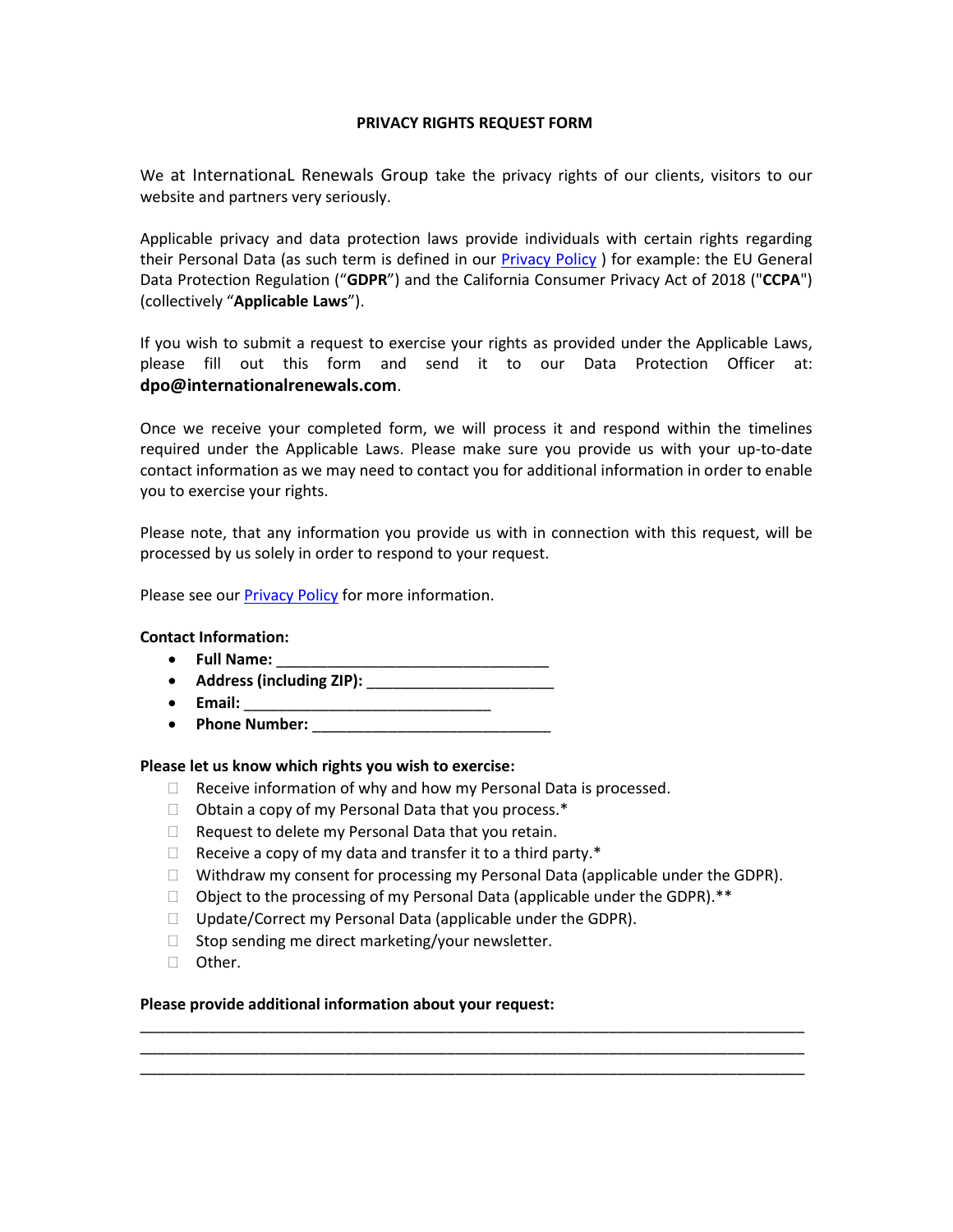# **PRIVACY RIGHTS REQUEST FORM**

We at InternationaL Renewals Group take the privacy rights of our clients, visitors to our website and partners very seriously.

Applicable privacy and data protection laws provide individuals with certain rights regarding their Personal Data (as such term is defined in our [Privacy Policy](https://www.internationalrenewals.com/privacypolicy)) for example: the EU General Data Protection Regulation ("**GDPR**") and the California Consumer Privacy Act of 2018 ("**CCPA**") (collectively "**Applicable Laws**").

If you wish to submit a request to exercise your rights as provided under the Applicable Laws, please fill out this form and send it to our Data Protection Officer at: **dpo@internationalrenewals.com**.

Once we receive your completed form, we will process it and respond within the timelines required under the Applicable Laws. Please make sure you provide us with your up-to-date contact information as we may need to contact you for additional information in order to enable you to exercise your rights.

Please note, that any information you provide us with in connection with this request, will be processed by us solely in order to respond to your request.

Please see our [Privacy Policy](https://www.internationalrenewals.com/privacypolicy) for more information.

# **Contact Information:**

- Full Name:
- **Address (including ZIP):** \_\_\_\_\_\_\_\_\_\_\_\_\_\_\_\_\_\_\_\_\_\_
- **Email:** \_\_\_\_\_\_\_\_\_\_\_\_\_\_\_\_\_\_\_\_\_\_\_\_\_\_\_\_\_
- Phone Number:

#### **Please let us know which rights you wish to exercise:**

- $\Box$  Receive information of why and how my Personal Data is processed.
- $\Box$  Obtain a copy of my Personal Data that you process.\*
- $\Box$  Request to delete my Personal Data that you retain.
- $\Box$  Receive a copy of my data and transfer it to a third party.\*
- $\Box$  Withdraw my consent for processing my Personal Data (applicable under the GDPR).

\_\_\_\_\_\_\_\_\_\_\_\_\_\_\_\_\_\_\_\_\_\_\_\_\_\_\_\_\_\_\_\_\_\_\_\_\_\_\_\_\_\_\_\_\_\_\_\_\_\_\_\_\_\_\_\_\_\_\_\_\_\_\_\_\_\_\_\_\_\_\_\_\_\_\_\_\_\_ \_\_\_\_\_\_\_\_\_\_\_\_\_\_\_\_\_\_\_\_\_\_\_\_\_\_\_\_\_\_\_\_\_\_\_\_\_\_\_\_\_\_\_\_\_\_\_\_\_\_\_\_\_\_\_\_\_\_\_\_\_\_\_\_\_\_\_\_\_\_\_\_\_\_\_\_\_\_ \_\_\_\_\_\_\_\_\_\_\_\_\_\_\_\_\_\_\_\_\_\_\_\_\_\_\_\_\_\_\_\_\_\_\_\_\_\_\_\_\_\_\_\_\_\_\_\_\_\_\_\_\_\_\_\_\_\_\_\_\_\_\_\_\_\_\_\_\_\_\_\_\_\_\_\_\_\_

- $\Box$  Object to the processing of my Personal Data (applicable under the GDPR).\*\*
- $\Box$  Update/Correct my Personal Data (applicable under the GDPR).
- $\Box$  Stop sending me direct marketing/your newsletter.
- □ Other.

### **Please provide additional information about your request:**